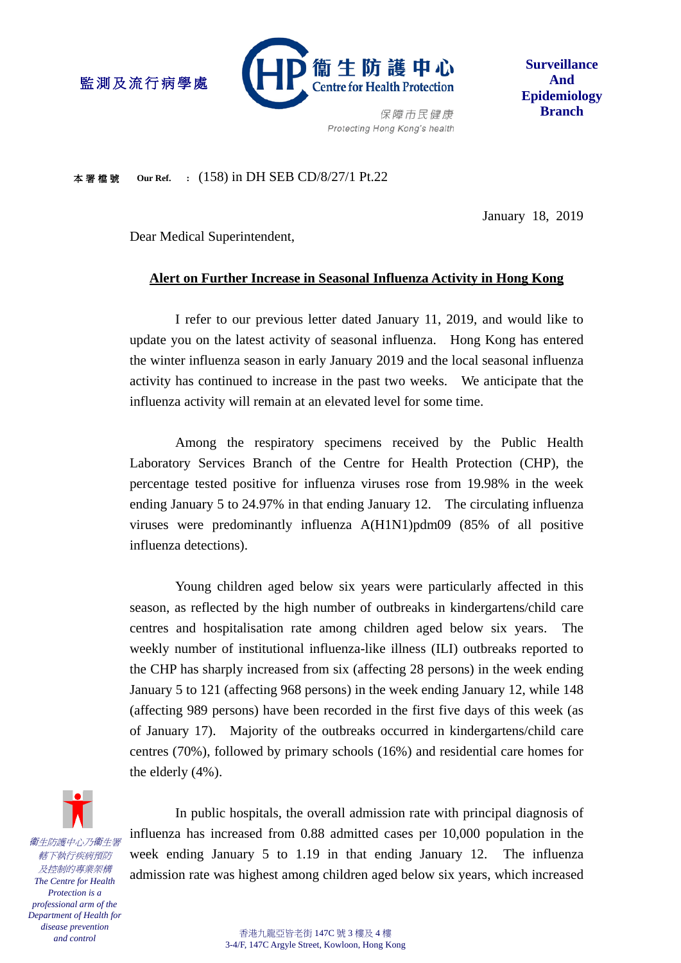

**Surveillance And Epidemiology Branch**

Protecting Hong Kong's health

本署檔號 **Our Ref. :** (158) in DH SEB CD/8/27/1 Pt.22

January 18, 2019

Dear Medical Superintendent,

監測及流行病學處

# **Alert on Further Increase in Seasonal Influenza Activity in Hong Kong**

I refer to our previous letter dated January 11, 2019, and would like to update you on the latest activity of seasonal influenza. Hong Kong has entered the winter influenza season in early January 2019 and the local seasonal influenza activity has continued to increase in the past two weeks. We anticipate that the influenza activity will remain at an elevated level for some time.

Among the respiratory specimens received by the Public Health Laboratory Services Branch of the Centre for Health Protection (CHP), the percentage tested positive for influenza viruses rose from 19.98% in the week ending January 5 to 24.97% in that ending January 12. The circulating influenza viruses were predominantly influenza A(H1N1)pdm09 (85% of all positive influenza detections).

Young children aged below six years were particularly affected in this season, as reflected by the high number of outbreaks in kindergartens/child care centres and hospitalisation rate among children aged below six years. The weekly number of institutional influenza-like illness (ILI) outbreaks reported to the CHP has sharply increased from six (affecting 28 persons) in the week ending January 5 to 121 (affecting 968 persons) in the week ending January 12, while 148 (affecting 989 persons) have been recorded in the first five days of this week (as of January 17). Majority of the outbreaks occurred in kindergartens/child care centres (70%), followed by primary schools (16%) and residential care homes for the elderly (4%).

衞生防護中心乃衞生署 轄下執行疾病預防 及控制的專業架構 *The Centre for Health Protection is a professional arm of the Department of Health for disease prevention and control*

In public hospitals, the overall admission rate with principal diagnosis of influenza has increased from 0.88 admitted cases per 10,000 population in the week ending January 5 to 1.19 in that ending January 12. The influenza admission rate was highest among children aged below six years, which increased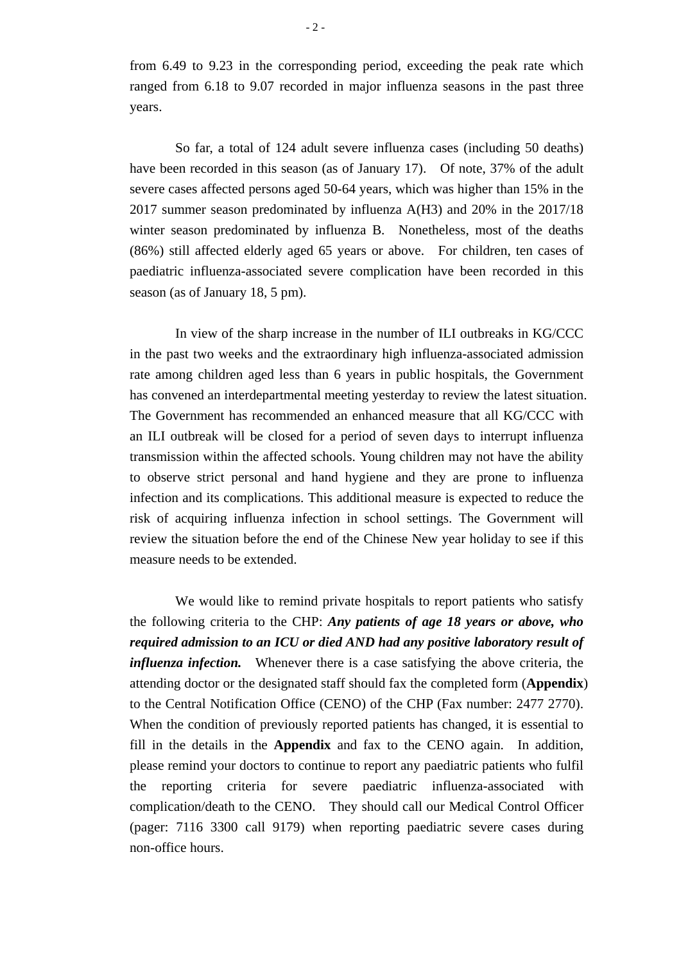from 6.49 to 9.23 in the corresponding period, exceeding the peak rate which ranged from 6.18 to 9.07 recorded in major influenza seasons in the past three years.

So far, a total of 124 adult severe influenza cases (including 50 deaths) have been recorded in this season (as of January 17). Of note, 37% of the adult severe cases affected persons aged 50-64 years, which was higher than 15% in the 2017 summer season predominated by influenza A(H3) and 20% in the 2017/18 winter season predominated by influenza B. Nonetheless, most of the deaths (86%) still affected elderly aged 65 years or above. For children, ten cases of paediatric influenza-associated severe complication have been recorded in this season (as of January 18, 5 pm).

In view of the sharp increase in the number of ILI outbreaks in KG/CCC in the past two weeks and the extraordinary high influenza-associated admission rate among children aged less than 6 years in public hospitals, the Government has convened an interdepartmental meeting yesterday to review the latest situation. The Government has recommended an enhanced measure that all KG/CCC with an ILI outbreak will be closed for a period of seven days to interrupt influenza transmission within the affected schools. Young children may not have the ability to observe strict personal and hand hygiene and they are prone to influenza infection and its complications. This additional measure is expected to reduce the risk of acquiring influenza infection in school settings. The Government will review the situation before the end of the Chinese New year holiday to see if this measure needs to be extended.

We would like to remind private hospitals to report patients who satisfy the following criteria to the CHP: *Any patients of age 18 years or above, who required admission to an ICU or died AND had any positive laboratory result of influenza infection.* Whenever there is a case satisfying the above criteria, the attending doctor or the designated staff should fax the completed form (**Appendix**) to the Central Notification Office (CENO) of the CHP (Fax number: 2477 2770). When the condition of previously reported patients has changed, it is essential to fill in the details in the **Appendix** and fax to the CENO again. In addition, please remind your doctors to continue to report any paediatric patients who fulfil the reporting criteria for severe paediatric influenza-associated with complication/death to the CENO. They should call our Medical Control Officer (pager: 7116 3300 call 9179) when reporting paediatric severe cases during non-office hours.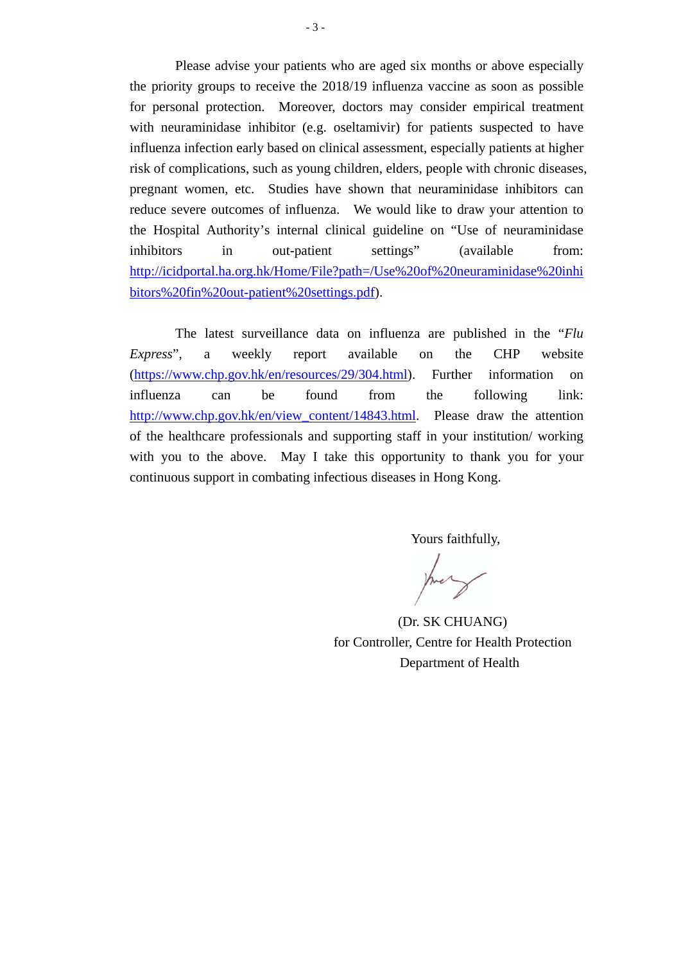Please advise your patients who are aged six months or above especially the priority groups to receive the 2018/19 influenza vaccine as soon as possible for personal protection. Moreover, doctors may consider empirical treatment with neuraminidase inhibitor (e.g. oseltamivir) for patients suspected to have influenza infection early based on clinical assessment, especially patients at higher risk of complications, such as young children, elders, people with chronic diseases, pregnant women, etc. Studies have shown that neuraminidase inhibitors can reduce severe outcomes of influenza. We would like to draw your attention to the Hospital Authority's internal clinical guideline on ["Use of neuraminidase](http://icidportal.ha.org.hk/sites/en/webpages/Seasonal%20Influenza/Use%20of%20neuraminidase%20inhibitors%20fin%20out-patient%20settings.pdf)  [inhibitors in out-patient settings"](http://icidportal.ha.org.hk/sites/en/webpages/Seasonal%20Influenza/Use%20of%20neuraminidase%20inhibitors%20fin%20out-patient%20settings.pdf) (available from: [http://icidportal.ha.org.hk/Home/File?path=/Use%20of%20neuraminidase%20inhi](http://icidportal.ha.org.hk/Home/File?path=/Use%20of%20neuraminidase%20inhibitors%20fin%20out-patient%20settings.pdf) [bitors%20fin%20out-patient%20settings.pdf\)](http://icidportal.ha.org.hk/Home/File?path=/Use%20of%20neuraminidase%20inhibitors%20fin%20out-patient%20settings.pdf).

The latest surveillance data on influenza are published in the "*Flu Express*", a weekly report available on the CHP website [\(https://www.chp.gov.hk/en/resources/29/304.html\)](https://www.chp.gov.hk/en/resources/29/304.html). Further information on influenza can be found from the following link: [http://www.chp.gov.hk/en/view\\_content/14843.html.](http://www.chp.gov.hk/en/view_content/14843.html) Please draw the attention of the healthcare professionals and supporting staff in your institution/ working with you to the above. May I take this opportunity to thank you for your continuous support in combating infectious diseases in Hong Kong.

Yours faithfully,

(Dr. SK CHUANG) for Controller, Centre for Health Protection Department of Health